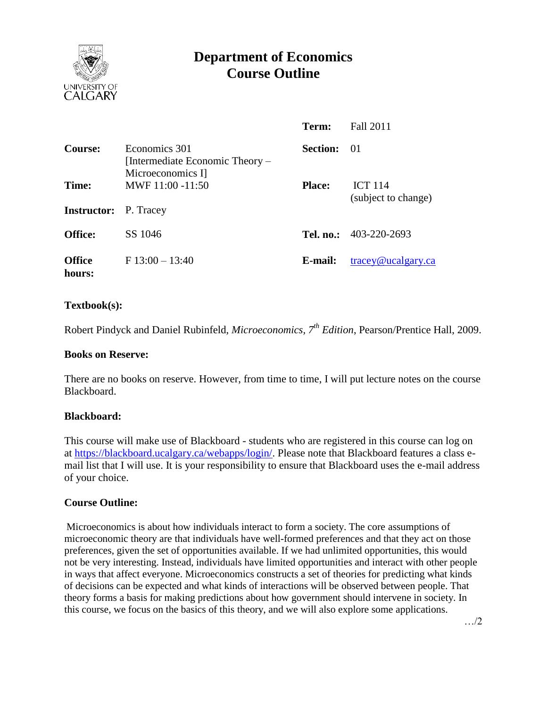

# **Department of Economics Course Outline**

|                             |                                                                       | Term:           | <b>Fall 2011</b>                      |
|-----------------------------|-----------------------------------------------------------------------|-----------------|---------------------------------------|
| Course:                     | Economics 301<br>[Intermediate Economic Theory –<br>Microeconomics I] | <b>Section:</b> | -01                                   |
| Time:<br><b>Instructor:</b> | MWF 11:00 -11:50<br>P. Tracey                                         | <b>Place:</b>   | <b>ICT 114</b><br>(subject to change) |
| <b>Office:</b>              | SS 1046                                                               |                 | Tel. no.: $403-220-2693$              |
| <b>Office</b><br>hours:     | $F13:00-13:40$                                                        | E-mail:         | tracey@ucalgary.ca                    |

## **Textbook(s):**

Robert Pindyck and Daniel Rubinfeld, *Microeconomics, 7th Edition*, Pearson/Prentice Hall, 2009.

#### **Books on Reserve:**

There are no books on reserve. However, from time to time, I will put lecture notes on the course Blackboard.

#### **Blackboard:**

This course will make use of Blackboard - students who are registered in this course can log on at [https://blackboard.ucalgary.ca/webapps/login/.](https://blackboard.ucalgary.ca/webapps/login/) Please note that Blackboard features a class email list that I will use. It is your responsibility to ensure that Blackboard uses the e-mail address of your choice.

#### **Course Outline:**

Microeconomics is about how individuals interact to form a society. The core assumptions of microeconomic theory are that individuals have well-formed preferences and that they act on those preferences, given the set of opportunities available. If we had unlimited opportunities, this would not be very interesting. Instead, individuals have limited opportunities and interact with other people in ways that affect everyone. Microeconomics constructs a set of theories for predicting what kinds of decisions can be expected and what kinds of interactions will be observed between people. That theory forms a basis for making predictions about how government should intervene in society. In this course, we focus on the basics of this theory, and we will also explore some applications.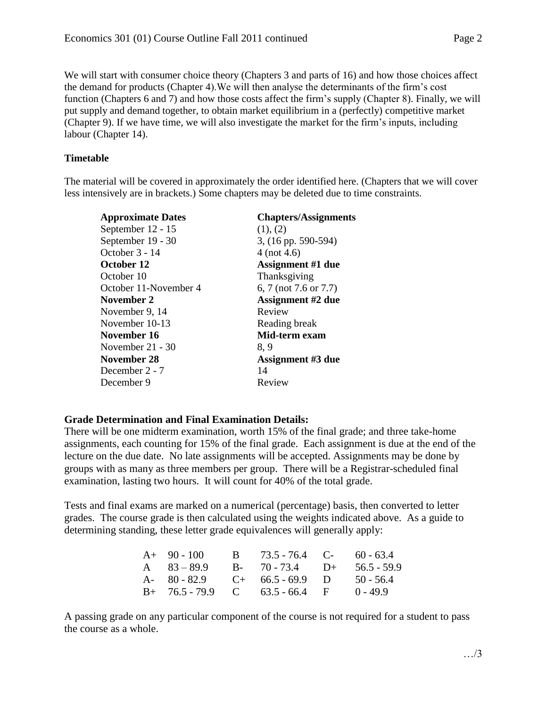We will start with consumer choice theory (Chapters 3 and parts of 16) and how those choices affect the demand for products (Chapter 4).We will then analyse the determinants of the firm's cost function (Chapters 6 and 7) and how those costs affect the firm's supply (Chapter 8). Finally, we will put supply and demand together, to obtain market equilibrium in a (perfectly) competitive market (Chapter 9). If we have time, we will also investigate the market for the firm's inputs, including labour (Chapter 14).

## **Timetable**

The material will be covered in approximately the order identified here. (Chapters that we will cover less intensively are in brackets.) Some chapters may be deleted due to time constraints.

| <b>Approximate Dates</b> | <b>Chapters/Assignments</b> |  |  |
|--------------------------|-----------------------------|--|--|
| September 12 - 15        | (1), (2)                    |  |  |
| September 19 - 30        | 3, (16 pp. 590-594)         |  |  |
| October 3 - 14           | $4$ (not 4.6)               |  |  |
| October 12               | <b>Assignment #1 due</b>    |  |  |
| October 10               | Thanksgiving                |  |  |
| October 11-November 4    | 6, 7 (not 7.6 or 7.7)       |  |  |
| November 2               | <b>Assignment #2 due</b>    |  |  |
| November 9, 14           | Review                      |  |  |
| November 10-13           | Reading break               |  |  |
| November 16              | Mid-term exam               |  |  |
| November $21 - 30$       | 8, 9                        |  |  |
| November 28              | <b>Assignment #3 due</b>    |  |  |
| December 2 - 7           | 14                          |  |  |
| December 9               | Review                      |  |  |

# **Grade Determination and Final Examination Details:**

There will be one midterm examination, worth 15% of the final grade; and three take-home assignments, each counting for 15% of the final grade. Each assignment is due at the end of the lecture on the due date. No late assignments will be accepted. Assignments may be done by groups with as many as three members per group. There will be a Registrar-scheduled final examination, lasting two hours. It will count for 40% of the total grade.

Tests and final exams are marked on a numerical (percentage) basis, then converted to letter grades. The course grade is then calculated using the weights indicated above. As a guide to determining standing, these letter grade equivalences will generally apply:

| $A+90-100$    | B $73.5 - 76.4$ C- $60 - 63.4$    |              |
|---------------|-----------------------------------|--------------|
| A $83 - 89.9$ | $B - 70 - 73.4$ $D +$             | 56.5 - 59.9  |
|               | A- $80 - 82.9$ C+ $66.5 - 69.9$ D | $50 - 56.4$  |
|               | $B+$ 76.5 - 79.9 C 63.5 - 66.4 F  | $(0 - 49.9)$ |

A passing grade on any particular component of the course is not required for a student to pass the course as a whole.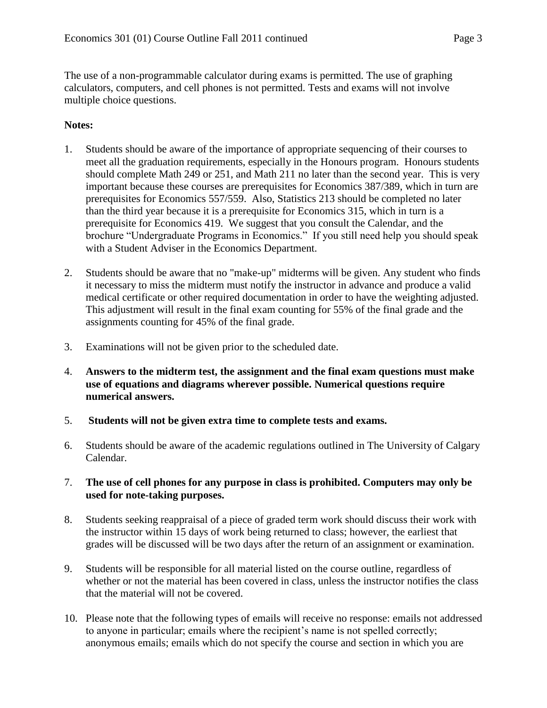The use of a non-programmable calculator during exams is permitted. The use of graphing calculators, computers, and cell phones is not permitted. Tests and exams will not involve multiple choice questions.

# **Notes:**

- 1. Students should be aware of the importance of appropriate sequencing of their courses to meet all the graduation requirements, especially in the Honours program. Honours students should complete Math 249 or 251, and Math 211 no later than the second year. This is very important because these courses are prerequisites for Economics 387/389, which in turn are prerequisites for Economics 557/559. Also, Statistics 213 should be completed no later than the third year because it is a prerequisite for Economics 315, which in turn is a prerequisite for Economics 419. We suggest that you consult the Calendar, and the brochure "Undergraduate Programs in Economics." If you still need help you should speak with a Student Adviser in the Economics Department.
- 2. Students should be aware that no "make-up" midterms will be given. Any student who finds it necessary to miss the midterm must notify the instructor in advance and produce a valid medical certificate or other required documentation in order to have the weighting adjusted. This adjustment will result in the final exam counting for 55% of the final grade and the assignments counting for 45% of the final grade.
- 3. Examinations will not be given prior to the scheduled date.
- 4. **Answers to the midterm test, the assignment and the final exam questions must make use of equations and diagrams wherever possible. Numerical questions require numerical answers.**
- 5. **Students will not be given extra time to complete tests and exams.**
- 6. Students should be aware of the academic regulations outlined in The University of Calgary Calendar.
- 7. **The use of cell phones for any purpose in class is prohibited. Computers may only be used for note-taking purposes.**
- 8. Students seeking reappraisal of a piece of graded term work should discuss their work with the instructor within 15 days of work being returned to class; however, the earliest that grades will be discussed will be two days after the return of an assignment or examination.
- 9. Students will be responsible for all material listed on the course outline, regardless of whether or not the material has been covered in class, unless the instructor notifies the class that the material will not be covered.
- 10. Please note that the following types of emails will receive no response: emails not addressed to anyone in particular; emails where the recipient's name is not spelled correctly; anonymous emails; emails which do not specify the course and section in which you are